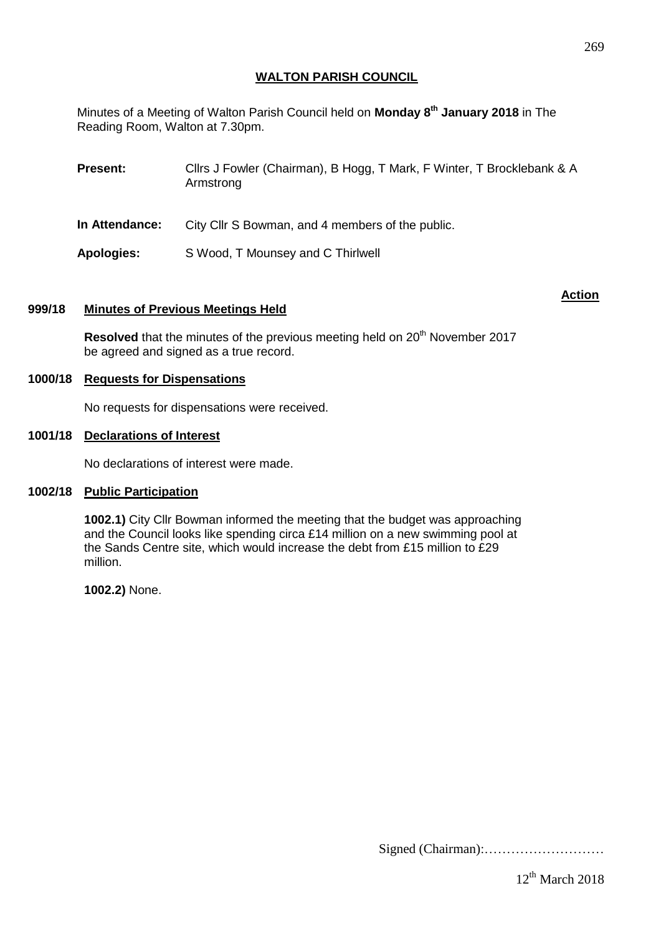# **WALTON PARISH COUNCIL**

Minutes of a Meeting of Walton Parish Council held on **Monday 8 th January 2018** in The Reading Room, Walton at 7.30pm.

| <b>Present:</b>   | Cllrs J Fowler (Chairman), B Hogg, T Mark, F Winter, T Brocklebank & A<br>Armstrong |
|-------------------|-------------------------------------------------------------------------------------|
| In Attendance:    | City Cllr S Bowman, and 4 members of the public.                                    |
| <b>Apologies:</b> | S Wood, T Mounsey and C Thirlwell                                                   |

#### **Action**

### **999/18 Minutes of Previous Meetings Held**

**Resolved** that the minutes of the previous meeting held on 20<sup>th</sup> November 2017 be agreed and signed as a true record.

# **1000/18 Requests for Dispensations**

No requests for dispensations were received.

#### **1001/18 Declarations of Interest**

No declarations of interest were made.

### **1002/18 Public Participation**

**1002.1)** City Cllr Bowman informed the meeting that the budget was approaching and the Council looks like spending circa £14 million on a new swimming pool at the Sands Centre site, which would increase the debt from £15 million to £29 million.

**1002.2)** None.

Signed (Chairman):………………………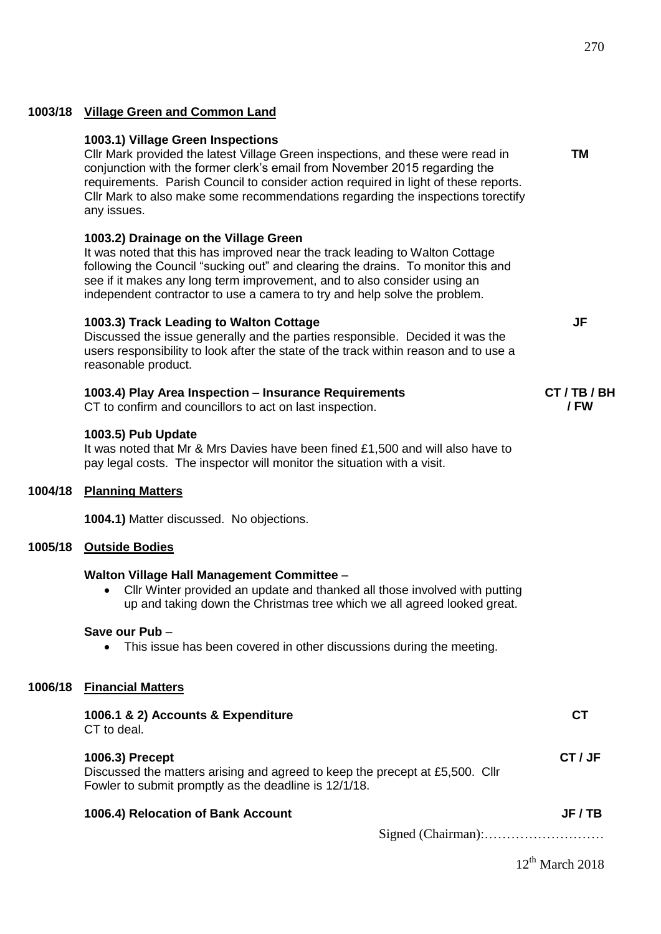**TM**

**JF**

# **1003/18 Village Green and Common Land**

#### **1003.1) Village Green Inspections**

Cllr Mark provided the latest Village Green inspections, and these were read in conjunction with the former clerk's email from November 2015 regarding the requirements. Parish Council to consider action required in light of these reports. Cllr Mark to also make some recommendations regarding the inspections torectify any issues.

# **1003.2) Drainage on the Village Green**

It was noted that this has improved near the track leading to Walton Cottage following the Council "sucking out" and clearing the drains. To monitor this and see if it makes any long term improvement, and to also consider using an independent contractor to use a camera to try and help solve the problem.

#### **1003.3) Track Leading to Walton Cottage**

Discussed the issue generally and the parties responsible. Decided it was the users responsibility to look after the state of the track within reason and to use a reasonable product.

| 1003.4) Play Area Inspection - Insurance Requirements    | CT/TB/BH |
|----------------------------------------------------------|----------|
| CT to confirm and councillors to act on last inspection. | / FW     |

#### **1003.5) Pub Update**

It was noted that Mr & Mrs Davies have been fined £1,500 and will also have to pay legal costs. The inspector will monitor the situation with a visit.

# **1004/18 Planning Matters**

**1004.1)** Matter discussed. No objections.

#### **1005/18 Outside Bodies**

#### **Walton Village Hall Management Committee** –

 Cllr Winter provided an update and thanked all those involved with putting up and taking down the Christmas tree which we all agreed looked great.

#### **Save our Pub** –

• This issue has been covered in other discussions during the meeting.

#### **1006/18 Financial Matters**

| 1006.1 & 2) Accounts & Expenditure<br>CT to deal.                                                                                                        |         |
|----------------------------------------------------------------------------------------------------------------------------------------------------------|---------|
| 1006.3) Precept<br>Discussed the matters arising and agreed to keep the precept at £5,500. Cllr<br>Fowler to submit promptly as the deadline is 12/1/18. | CT / JF |
| 1006.4) Relocation of Bank Account                                                                                                                       | JF / TB |
|                                                                                                                                                          |         |

 $12<sup>th</sup>$  March 2018